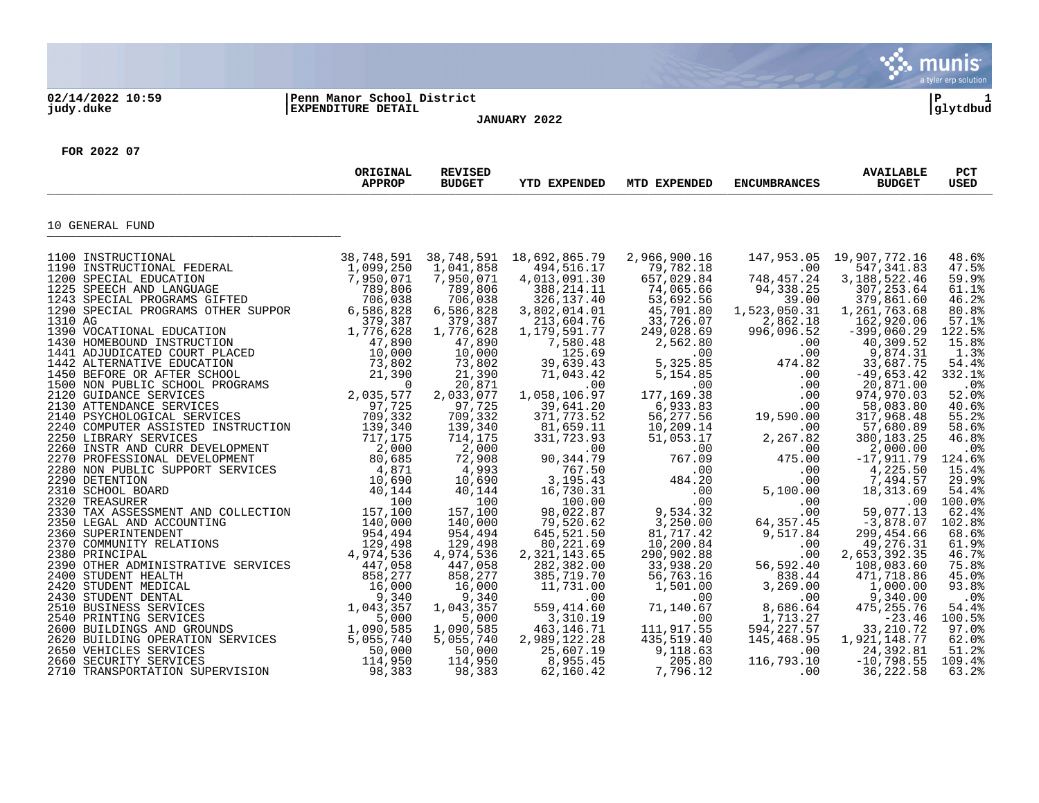

2620 BUILDING OPERATION SERVICES 5,055,740 5,055,740 2,989,122.28 435,519.40 145,468.95 1,921,148.77 62.0% 2650 VEHICLES SERVICES 50,000 50,000 25,607.19 9,118.63 .00 24,392.81 51.2% 2660 SECURITY SERVICES 114,950 114,950 8,955.45 205.80 116,793.10 -10,798.55 109.4% 2710 TRANSPORTATION SUPERVISION 98,383 98,383 62,160.42 7,796.12 .00 36,222.58 63.2%

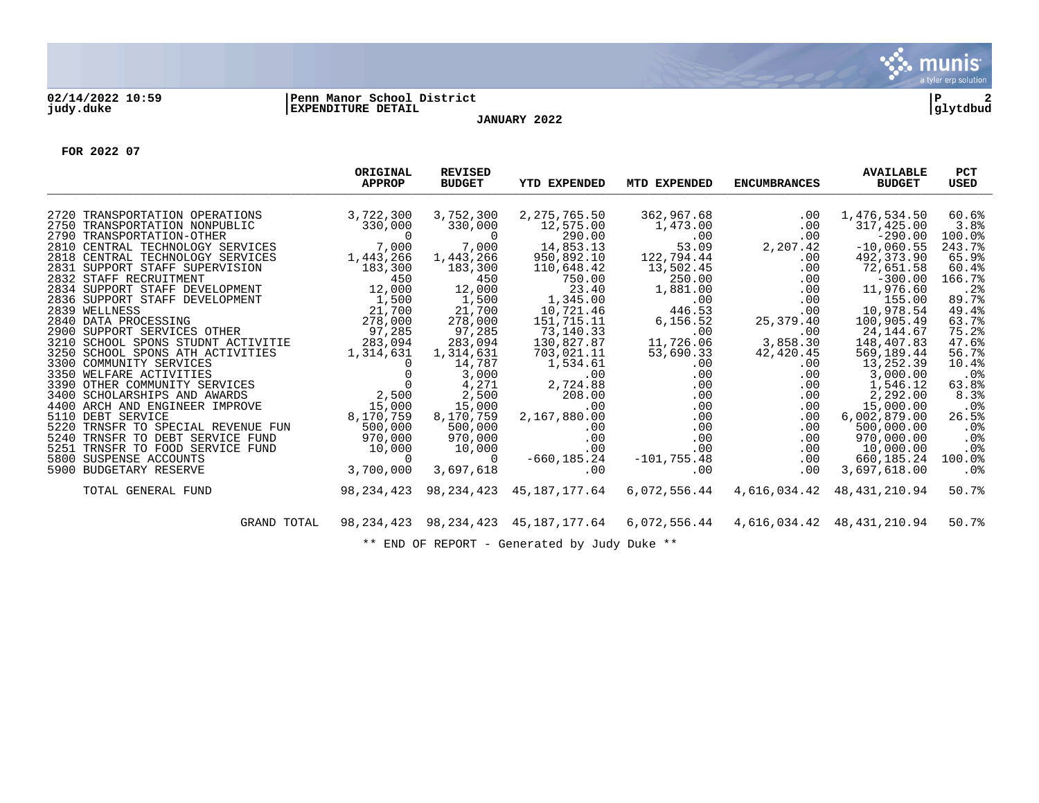

## **02/14/2022 10:59 |Penn Manor School District |P 2 judy.duke |EXPENDITURE DETAIL |glytdbud JANUARY 2022**



**FOR 2022 07**

|                                                             | ORIGINAL<br><b>APPROP</b>       | <b>REVISED</b><br><b>BUDGET</b> | <b>YTD EXPENDED</b>      | MTD EXPENDED  | <b>ENCUMBRANCES</b> | <b>AVAILABLE</b><br><b>BUDGET</b> | <b>PCT</b><br><b>USED</b> |
|-------------------------------------------------------------|---------------------------------|---------------------------------|--------------------------|---------------|---------------------|-----------------------------------|---------------------------|
| 2720 TRANSPORTATION OPERATIONS                              | 3,722,300                       | 3,752,300                       | 2, 275, 765.50           | 362,967.68    | .00                 | 1,476,534.50                      | 60.6%                     |
| 2750 TRANSPORTATION NONPUBLIC                               | 330,000                         | 330,000                         | 12,575.00                | 1,473.00      | .00                 | 317,425.00                        | 3.8%                      |
| 2790 TRANSPORTATION-OTHER                                   | $\Omega$                        |                                 | 290.00                   | .00           | .00                 | $-290.00$                         | 100.0%                    |
| 2810 CENTRAL TECHNOLOGY SERVICES                            | 7,000                           | 7,000                           | 14,853.13                | 53.09         | 2,207.42            | $-10,060.55$                      | 243.7%                    |
| 2818 CENTRAL TECHNOLOGY SERVICES                            | 1,443,266                       | 1,443,266                       | 950,892.10               | 122,794.44    | $.00 \ \rm$         | 492,373.90                        | 65.9%                     |
| 2831 SUPPORT STAFF SUPERVISION                              | 183,300                         | 183,300                         | 110,648.42               | 13,502.45     | .00                 | 72,651.58                         | 60.4%                     |
| 2832 STAFF RECRUITMENT                                      | 450                             | 450                             | 750.00                   | 250.00        | .00                 | $-300.00$                         | 166.7%                    |
| 2834 SUPPORT STAFF DEVELOPMENT                              | 12,000                          | 12,000                          | 23.40                    | 1,881.00      | .00                 | 11,976.60                         | .2%                       |
| 2836 SUPPORT STAFF DEVELOPMENT                              | $\frac{1}{21}$ , 500<br>21. 700 | 1,500                           | 1,345.00                 | .00           | .00                 | 155.00                            | 89.7%                     |
| 2839 WELLNESS                                               | 21,700                          | 21,700                          | 10,721.46                | 446.53        | $.00 \,$            | 10,978.54                         | 49.4%                     |
| 2840 DATA PROCESSING                                        | 278,000                         | 278,000                         | 151,715.11               | 6,156.52      | 25,379.40           | 100,905.49                        | 63.7%                     |
| 2900 SUPPORT SERVICES OTHER                                 | 97,285                          | 97,285                          | 73,140.33                | .00           | .00                 | 24, 144.67                        | 75.2%                     |
| 3210 SCHOOL SPONS STUDNT ACTIVITIE                          | 283,094                         | 283,094                         | 130,827.87               | 11,726.06     | 3,858.30            | 148,407.83                        | 47.6%                     |
| 3250 SCHOOL SPONS ATH ACTIVITIES<br>3300 COMMUNITY SERVICES | 1,314,631                       | 1,314,631                       | 703,021.11<br>1,534.61   | 53,690.33     | 42,420.45           | 569,189.44<br>13,252.39           | 56.7%<br>10.4%            |
| CES 0 $0$<br>CES 2DS 2 $2,500$<br>3350 WELFARE ACTIVITIES   |                                 | 14,787<br>3,000                 | .00                      | .00<br>.00    | $.00 \,$<br>.00     | 3,000.00                          | .0%                       |
| 3390 OTHER COMMUNITY SERVICES                               |                                 | 4,271                           | 2,724.88                 | .00           | .00                 | 1,546.12                          | 63.8%                     |
| 3400 SCHOLARSHIPS AND AWARDS                                |                                 | 2,500                           | 208.00                   | .00           | .00                 | 2,292.00                          | 8.3%                      |
| 4400 ARCH AND ENGINEER IMPROVE                              | 15,000                          | 15,000                          | .00                      | .00           | $.00 \,$            | 15,000.00                         | .0 <sub>8</sub>           |
| 5110 DEBT SERVICE                                           | 8,170,759                       | 8,170,759                       | 2,167,880.00             | .00           | .00                 | 6,002,879.00                      | 26.5%                     |
| 5220 TRNSFR TO SPECIAL REVENUE FUN                          | 500,000                         | 500,000                         | .00                      | .00           | .00                 | 500,000.00                        | $.0\%$                    |
| 5240 TRNSFR TO DEBT SERVICE FUND                            | 970,000                         | 970,000                         | .00                      | .00           | $.00 \,$            | 970,000.00                        | .0%                       |
| 5251 TRNSFR TO FOOD SERVICE FUND                            | $U = 10,000$<br>10,000          | 10,000                          | .00                      | .00           | $.00 \ \rm$         | 10,000.00                         | .0%                       |
| 5800 SUSPENSE ACCOUNTS                                      |                                 | $\Omega$                        | $-660, 185.24$           | $-101,755.48$ | .00                 | 660,185.24                        | 100.0%                    |
| 5900 BUDGETARY RESERVE                                      | 3,700,000                       | 3,697,618                       | .00                      | .00           | .00                 | 3,697,618.00                      | .0 <sub>8</sub>           |
| TOTAL GENERAL FUND                                          | 98,234,423                      | 98,234,423                      | 45,187,177.64            | 6,072,556.44  |                     | 4,616,034.42 48,431,210.94        | 50.7%                     |
| GRAND TOTAL                                                 | 98,234,423                      |                                 | 98,234,423 45,187,177.64 | 6,072,556.44  |                     | 4,616,034.42 48,431,210.94        | 50.7%                     |
|                                                             |                                 |                                 |                          |               |                     |                                   |                           |

\*\* END OF REPORT - Generated by Judy Duke \*\*